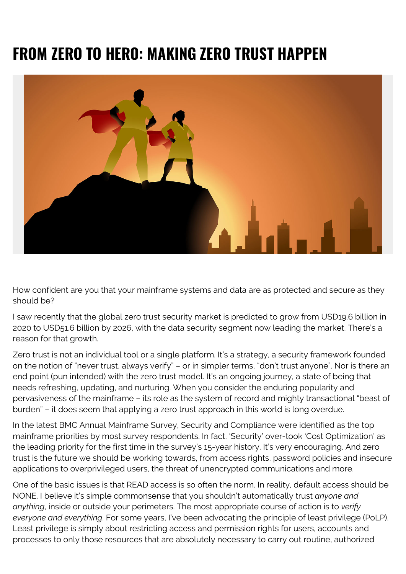## **FROM ZERO TO HERO: MAKING ZERO TRUST HAPPEN**



How confident are you that your mainframe systems and data are as protected and secure as they should be?

I saw recently that the global zero trust security market is predicted to grow from USD19.6 billion in 2020 to USD51.6 billion by 2026, with the data security segment now leading the market. There's a reason for that growth.

Zero trust is not an individual tool or a single platform. It's a strategy, a security framework founded on the notion of "never trust, always verify" – or in simpler terms, "don't trust anyone". Nor is there an end point (pun intended) with the zero trust model. It's an ongoing journey, a state of being that needs refreshing, updating, and nurturing. When you consider the enduring popularity and pervasiveness of the mainframe – its role as the system of record and mighty transactional "beast of burden" – it does seem that applying a zero trust approach in this world is long overdue.

In the latest BMC Annual Mainframe Survey, Security and Compliance were identified as the top mainframe priorities by most survey respondents. In fact, 'Security' over-took 'Cost Optimization' as the leading priority for the first time in the survey's 15-year history. It's very encouraging. And zero trust is the future we should be working towards, from access rights, password policies and insecure applications to overprivileged users, the threat of unencrypted communications and more.

One of the basic issues is that READ access is so often the norm. In reality, default access should be NONE. I believe it's simple commonsense that you shouldn't automatically trust *anyone and anything*, inside or outside your perimeters. The most appropriate course of action is to *verify everyone and everything*. For some years, I've been advocating the principle of least privilege (PoLP). Least privilege is simply about restricting access and permission rights for users, accounts and processes to only those resources that are absolutely necessary to carry out routine, authorized